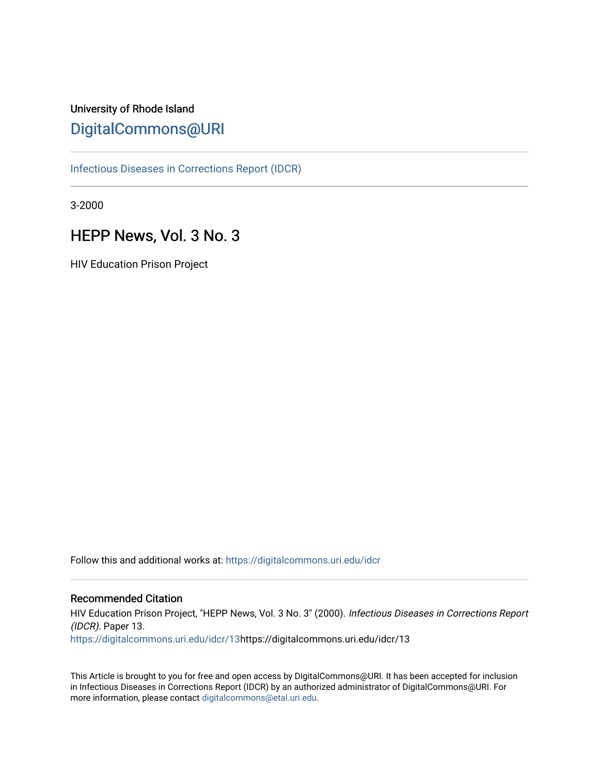# University of Rhode Island [DigitalCommons@URI](https://digitalcommons.uri.edu/)

[Infectious Diseases in Corrections Report \(IDCR\)](https://digitalcommons.uri.edu/idcr)

3-2000

# HEPP News, Vol. 3 No. 3

HIV Education Prison Project

Follow this and additional works at: [https://digitalcommons.uri.edu/idcr](https://digitalcommons.uri.edu/idcr?utm_source=digitalcommons.uri.edu%2Fidcr%2F13&utm_medium=PDF&utm_campaign=PDFCoverPages)

## Recommended Citation

HIV Education Prison Project, "HEPP News, Vol. 3 No. 3" (2000). Infectious Diseases in Corrections Report (IDCR). Paper 13. [https://digitalcommons.uri.edu/idcr/13h](https://digitalcommons.uri.edu/idcr/13?utm_source=digitalcommons.uri.edu%2Fidcr%2F13&utm_medium=PDF&utm_campaign=PDFCoverPages)ttps://digitalcommons.uri.edu/idcr/13

This Article is brought to you for free and open access by DigitalCommons@URI. It has been accepted for inclusion in Infectious Diseases in Corrections Report (IDCR) by an authorized administrator of DigitalCommons@URI. For more information, please contact [digitalcommons@etal.uri.edu.](mailto:digitalcommons@etal.uri.edu)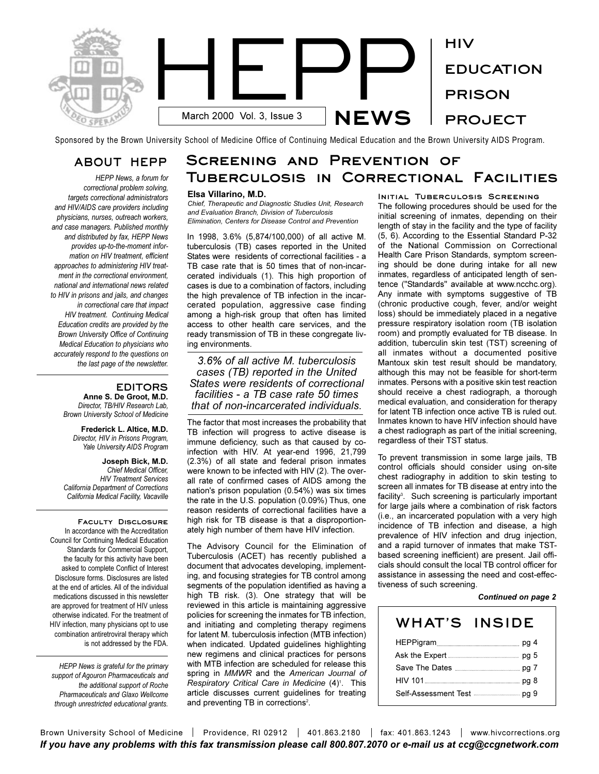

Sponsored by the Brown University School of Medicine Office of Continuing Medical Education and the Brown University AIDS Program.

## **ABOUT HEPP**

*HEPP News, a forum for correctional problem solving, targets correctional administrators and HIV/AIDS care providers including physicians, nurses, outreach workers, and case managers. Published monthly and distributed by fax, HEPP News provides up-to-the-moment information on HIV treatment, efficient approaches to administering HIV treatment in the correctional environment, national and international news related to HIV in prisons and jails, and changes in correctional care that impact HIV treatment. Continuing Medical Education credits are provided by the Brown University Office of Continuing Medical Education to physicians who accurately respond to the questions on the last page of the newsletter.* 

## **EDITORS**

**Anne S. De Groot, M.D.** *Director, TB/HIV Research Lab, Brown University School of Medicine*

**Frederick L. Altice, M.D.** *Director, HIV in Prisons Program, Yale University AIDS Program*

**Joseph Bick, M.D.** *Chief Medical Officer, HIV Treatment Services California Department of Corrections California Medical Facility, Vacaville*

**Faculty Disclosure**  In accordance with the Accreditation Council for Continuing Medical Education Standards for Commercial Support, the faculty for this activity have been asked to complete Conflict of Interest Disclosure forms. Disclosures are listed at the end of articles. All of the individual medications discussed in this newsletter are approved for treatment of HIV unless otherwise indicated. For the treatment of HIV infection, many physicians opt to use combination antiretroviral therapy which is not addressed by the FDA.

*HEPP News is grateful for the primary support of Agouron Pharmaceuticals and the additional support of Roche Pharmaceuticals and Glaxo Wellcome through unrestricted educational grants.*

# **Screening and Prevention of Tuberculosis in Correctional Facilities**

#### **Elsa Villarino, M.D.**

*Chief, Therapeutic and Diagnostic Studies Unit, Research and Evaluation Branch, Division of Tuberculosis Elimination, Centers for Disease Control and Prevention*

In 1998, 3.6% (5,874/100,000) of all active M. tuberculosis (TB) cases reported in the United States were residents of correctional facilities - a TB case rate that is 50 times that of non-incarcerated individuals (1). This high proportion of cases is due to a combination of factors, including the high prevalence of TB infection in the incarcerated population, aggressive case finding among a high-risk group that often has limited access to other health care services, and the ready transmission of TB in these congregate living environments.

*3.6% of all active M. tuberculosis cases (TB) reported in the United States were residents of correctional facilities - a TB case rate 50 times that of non-incarcerated individuals.*

The factor that most increases the probability that TB infection will progress to active disease is immune deficiency, such as that caused by coinfection with HIV. At year-end 1996, 21,799 (2.3%) of all state and federal prison inmates were known to be infected with HIV (2). The overall rate of confirmed cases of AIDS among the nation's prison population (0.54%) was six times the rate in the U.S. population (0.09%) Thus, one reason residents of correctional facilities have a high risk for TB disease is that a disproportionately high number of them have HIV infection.

The Advisory Council for the Elimination of Tuberculosis (ACET) has recently published a document that advocates developing, implementing, and focusing strategies for TB control among segments of the population identified as having a high TB risk. (3). One strategy that will be reviewed in this article is maintaining aggressive policies for screening the inmates for TB infection, and initiating and completing therapy regimens for latent M. tuberculosis infection (MTB infection) when indicated. Updated guidelines highlighting new regimens and clinical practices for persons with MTB infection are scheduled for release this spring in *MMWR* and the *American Journal of* Respiratory Critical Care in Medicine (4)<sup>1</sup>. This article discusses current guidelines for treating and preventing TB in corrections<sup>2</sup>.

**Initial Tuberculosis Screening** The following procedures should be used for the initial screening of inmates, depending on their length of stay in the facility and the type of facility (5, 6). According to the Essential Standard P-32 of the National Commission on Correctional Health Care Prison Standards, symptom screening should be done during intake for all new inmates, regardless of anticipated length of sentence ("Standards" available at www.ncchc.org). Any inmate with symptoms suggestive of TB (chronic productive cough, fever, and/or weight loss) should be immediately placed in a negative pressure respiratory isolation room (TB isolation room) and promptly evaluated for TB disease. In addition, tuberculin skin test (TST) screening of all inmates without a documented positive Mantoux skin test result should be mandatory, although this may not be feasible for short-term inmates. Persons with a positive skin test reaction should receive a chest radiograph, a thorough medical evaluation, and consideration for therapy for latent TB infection once active TB is ruled out. Inmates known to have HIV infection should have a chest radiograph as part of the initial screening, regardless of their TST status.

To prevent transmission in some large jails, TB control officials should consider using on-site chest radiography in addition to skin testing to screen all inmates for TB disease at entry into the facility<sup>3</sup>. Such screening is particularly important for large jails where a combination of risk factors (i.e., an incarcerated population with a very high incidence of TB infection and disease, a high prevalence of HIV infection and drug injection, and a rapid turnover of inmates that make TSTbased screening inefficient) are present. Jail officials should consult the local TB control officer for assistance in assessing the need and cost-effectiveness of such screening.

#### *Continued on page 2*

| WHAT'S INSIDE |  |
|---------------|--|
|               |  |
|               |  |
|               |  |
|               |  |
|               |  |
|               |  |

Brown University School of Medicine | Providence, RI 02912 | 401.863.2180 | fax: 401.863.1243 | www.hivcorrections.org *If you have any problems with this fax transmission please call 800.807.2070 or e-mail us at ccg@ccgnetwork.com*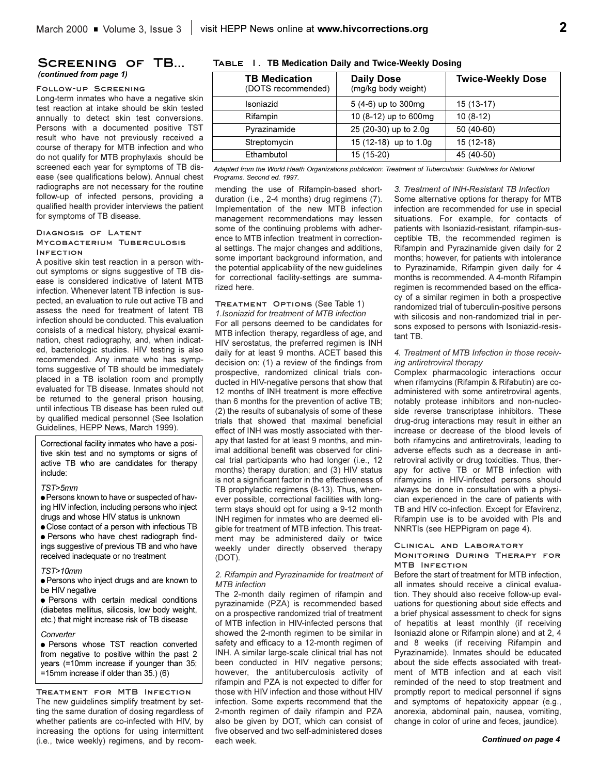#### **Screening of TB...**  *(continued from page 1)*

#### **Follow-up Screening**

Long-term inmates who have a negative skin test reaction at intake should be skin tested annually to detect skin test conversions. Persons with a documented positive TST result who have not previously received a course of therapy for MTB infection and who do not qualify for MTB prophylaxis should be screened each year for symptoms of TB disease (see qualifications below). Annual chest radiographs are not necessary for the routine follow-up of infected persons, providing a qualified health provider interviews the patient for symptoms of TB disease.

#### **Diagnosis of Latent Mycobacterium Tuberculosis Infection**

A positive skin test reaction in a person without symptoms or signs suggestive of TB disease is considered indicative of latent MTB infection. Whenever latent TB infection is suspected, an evaluation to rule out active TB and assess the need for treatment of latent TB infection should be conducted. This evaluation consists of a medical history, physical examination, chest radiography, and, when indicated, bacteriologic studies. HIV testing is also recommended. Any inmate who has symptoms suggestive of TB should be immediately placed in a TB isolation room and promptly evaluated for TB disease. Inmates should not be returned to the general prison housing, until infectious TB disease has been ruled out by qualified medical personnel (See Isolation Guidelines, HEPP News, March 1999).

Correctional facility inmates who have a positive skin test and no symptoms or signs of active TB who are candidates for therapy include:

#### *TST>5mm*

 $\bullet$  Persons known to have or suspected of having HIV infection, including persons who inject drugs and whose HIV status is unknown

 $\bullet$  Close contact of a person with infectious TB **• Persons who have chest radiograph find**ings suggestive of previous TB and who have received inadequate or no treatment

#### *TST>10mm*

**e** Persons who inject drugs and are known to be HIV negative

**•** Persons with certain medical conditions (diabetes mellitus, silicosis, low body weight, etc.) that might increase risk of TB disease

#### *Converter*

**• Persons whose TST reaction converted** from negative to positive within the past 2 years (=10mm increase if younger than 35; =15mm increase if older than 35.) (6)

**Treatment for MTB Infection** The new guidelines simplify treatment by setting the same duration of dosing regardless of whether patients are co-infected with HIV, by increasing the options for using intermittent (i.e., twice weekly) regimens, and by recom-

#### **Table 1. TB Medication Daily and Twice-Weekly Dosing**

| <b>TB Medication</b><br>(DOTS recommended) | <b>Daily Dose</b><br>(mg/kg body weight) | <b>Twice-Weekly Dose</b> |
|--------------------------------------------|------------------------------------------|--------------------------|
| Isoniazid                                  | 5 (4-6) up to 300mg                      | 15 (13-17)               |
| Rifampin                                   | 10 (8-12) up to 600mg                    | $10(8-12)$               |
| Pyrazinamide                               | 25 (20-30) up to 2.0g                    | 50 (40-60)               |
| Streptomycin                               | 15 (12-18) up to 1.0g                    | $15(12-18)$              |
| Ethambutol                                 | 15 (15-20)                               | 45 (40-50)               |

*Adapted from the World Heath Organizations publication: Treatment of Tuberculosis: Guidelines for National Programs. Second ed. 1997.*

#### mending the use of Rifampin-based shortduration (i.e., 2-4 months) drug regimens (7). Implementation of the new MTB infection management recommendations may lessen some of the continuing problems with adherence to MTB infection treatment in correctional settings. The major changes and additions, some important background information, and the potential applicability of the new guidelines for correctional facility-settings are summarized here.

#### **Treatment Options** (See Table 1)

*1.Isoniazid for treatment of MTB infection* For all persons deemed to be candidates for MTB infection therapy, regardless of age, and HIV serostatus, the preferred regimen is INH daily for at least 9 months. ACET based this decision on: (1) a review of the findings from prospective, randomized clinical trials conducted in HIV-negative persons that show that 12 months of INH treatment is more effective than 6 months for the prevention of active TB; (2) the results of subanalysis of some of these trials that showed that maximal beneficial effect of INH was mostly associated with therapy that lasted for at least 9 months, and minimal additional benefit was observed for clinical trial participants who had longer (i.e., 12 months) therapy duration; and (3) HIV status is not a significant factor in the effectiveness of TB prophylactic regimens (8-13). Thus, whenever possible, correctional facilities with longterm stays should opt for using a 9-12 month INH regimen for inmates who are deemed eligible for treatment of MTB infection. This treatment may be administered daily or twice weekly under directly observed therapy (DOT).

#### *2. Rifampin and Pyrazinamide for treatment of MTB infection*

The 2-month daily regimen of rifampin and pyrazinamide (PZA) is recommended based on a prospective randomized trial of treatment of MTB infection in HIV-infected persons that showed the 2-month regimen to be similar in safety and efficacy to a 12-month regimen of INH. A similar large-scale clinical trial has not been conducted in HIV negative persons; however, the antituberculosis activity of rifampin and PZA is not expected to differ for those with HIV infection and those without HIV infection. Some experts recommend that the 2-month regimen of daily rifampin and PZA also be given by DOT, which can consist of five observed and two self-administered doses each week.

*3. Treatment of INH-Resistant TB Infection* Some alternative options for therapy for MTB infection are recommended for use in special situations. For example, for contacts of patients with Isoniazid-resistant, rifampin-susceptible TB, the recommended regimen is Rifampin and Pyrazinamide given daily for 2 months; however, for patients with intolerance to Pyrazinamide, Rifampin given daily for 4 months is recommended. A 4-month Rifampin regimen is recommended based on the efficacy of a similar regimen in both a prospective randomized trial of tuberculin-positive persons with silicosis and non-randomized trial in persons exposed to persons with Isoniazid-resistant TB.

#### *4. Treatment of MTB Infection in those receiving antiretroviral therapy*

Complex pharmacologic interactions occur when rifamycins (Rifampin & Rifabutin) are coadministered with some antiretroviral agents, notably protease inhibitors and non-nucleoside reverse transcriptase inhibitors. These drug-drug interactions may result in either an increase or decrease of the blood levels of both rifamycins and antiretrovirals, leading to adverse effects such as a decrease in antiretroviral activity or drug toxicities. Thus, therapy for active TB or MTB infection with rifamycins in HIV-infected persons should always be done in consultation with a physician experienced in the care of patients with TB and HIV co-infection. Except for Efavirenz, Rifampin use is to be avoided with PIs and NNRTIs (see HEPPigram on page 4).

#### **Clinical and Laboratory Monitoring During Therapy for MTB Infection**

Before the start of treatment for MTB infection, all inmates should receive a clinical evaluation. They should also receive follow-up evaluations for questioning about side effects and a brief physical assessment to check for signs of hepatitis at least monthly (if receiving Isoniazid alone or Rifampin alone) and at 2, 4 and 8 weeks (if receiving Rifampin and Pyrazinamide). Inmates should be educated about the side effects associated with treatment of MTB infection and at each visit reminded of the need to stop treatment and promptly report to medical personnel if signs and symptoms of hepatoxicity appear (e.g., anorexia, abdominal pain, nausea, vomiting, change in color of urine and feces, jaundice).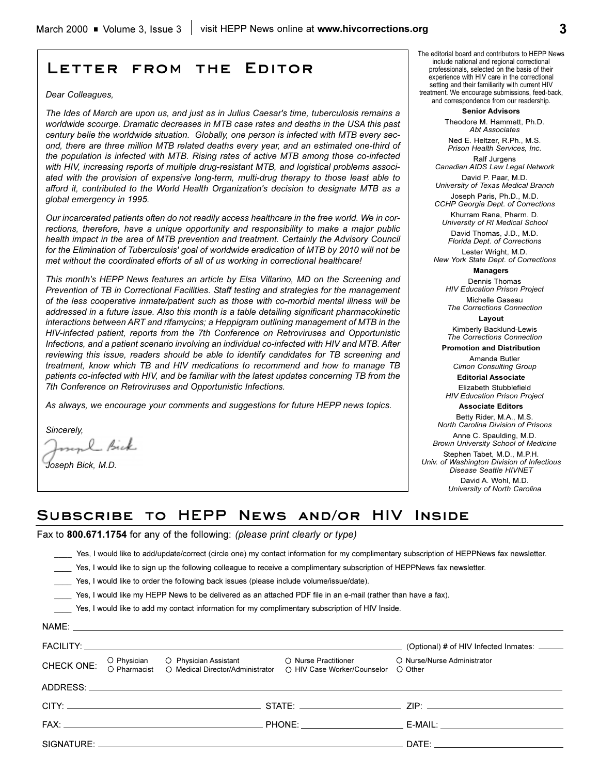# **Letter from the Editor**

#### *Dear Colleagues,*

*The Ides of March are upon us, and just as in Julius Caesar's time, tuberculosis remains a worldwide scourge. Dramatic decreases in MTB case rates and deaths in the USA this past century belie the worldwide situation. Globally, one person is infected with MTB every second, there are three million MTB related deaths every year, and an estimated one-third of the population is infected with MTB. Rising rates of active MTB among those co-infected with HIV, increasing reports of multiple drug-resistant MTB, and logistical problems associated with the provision of expensive long-term, multi-drug therapy to those least able to afford it, contributed to the World Health Organization's decision to designate MTB as a global emergency in 1995.*

*Our incarcerated patients often do not readily access healthcare in the free world. We in corrections, therefore, have a unique opportunity and responsibility to make a major public health impact in the area of MTB prevention and treatment. Certainly the Advisory Council for the Elimination of Tuberculosis' goal of worldwide eradication of MTB by 2010 will not be met without the coordinated efforts of all of us working in correctional healthcare!*

*This month's HEPP News features an article by Elsa Villarino, MD on the Screening and Prevention of TB in Correctional Facilities. Staff testing and strategies for the management of the less cooperative inmate/patient such as those with co-morbid mental illness will be addressed in a future issue. Also this month is a table detailing significant pharmacokinetic interactions between ART and rifamycins; a Heppigram outlining management of MTB in the HIV-infected patient, reports from the 7th Conference on Retroviruses and Opportunistic Infections, and a patient scenario involving an individual co-infected with HIV and MTB. After reviewing this issue, readers should be able to identify candidates for TB screening and treatment, know which TB and HIV medications to recommend and how to manage TB patients co-infected with HIV, and be familiar with the latest updates concerning TB from the 7th Conference on Retroviruses and Opportunistic Infections.*

*As always, we encourage your comments and suggestions for future HEPP news topics.*

*Sincerely,*

mol Bick

*Joseph Bick, M.D.*

The editorial board and contributors to HEPP News include national and regional correctional professionals, selected on the basis of their experience with HIV care in the correctional setting and their familiarity with current HIV treatment. We encourage submissions, feed-back, and correspondence from our readership.

> **Senior Advisors** Theodore M. Hammett, Ph.D.

*Abt Associates*

Ned E. Heltzer, R.Ph., M.S. *Prison Health Services, Inc.* Ralf Jurgens

*Canadian AIDS Law Legal Network* David P. Paar, M.D.

*University of Texas Medical Branch* Joseph Paris, Ph.D., M.D. *CCHP Georgia Dept. of Corrections* 

Khurram Rana, Pharm. D.

*University of RI Medical School* David Thomas, J.D., M.D. *Florida Dept. of Corrections*

Lester Wright, M.D. *New York State Dept. of Corrections*

**Managers**

Dennis Thomas *HIV Education Prison Project* Michelle Gaseau

*The Corrections Connection* **Layout**

Kimberly Backlund-Lewis *The Corrections Connection*

**Promotion and Distribution**

Amanda Butler *Cimon Consulting Group*

**Editorial Associate** 

Elizabeth Stubblefield *HIV Education Prison Project* **Associate Editors**

Betty Rider, M.A., M.S. *North Carolina Division of Prisons* Anne C. Spaulding, M.D. *Brown University School of Medicine* Stephen Tabet, M.D., M.P.H.

*Univ. of Washington Division of Infectious Disease Seattle HIVNET*

David A. Wohl, M.D. *University of North Carolina*

## **Subscribe to HEPP News and/or HIV Inside**

Fax to **800.671.1754** for any of the following: *(please print clearly or type)*

\_\_\_\_ Yes, I would like to add/update/correct (circle one) my contact information for my complimentary subscription of HEPPNews fax newsletter.

Yes, I would like to sign up the following colleague to receive a complimentary subscription of HEPPNews fax newsletter.

\_\_\_\_ Yes, I would like to order the following back issues (please include volume/issue/date).

\_\_\_\_ Yes, I would like my HEPP News to be delivered as an attached PDF file in an e-mail (rather than have a fax).

\_\_\_\_ Yes, I would like to add my contact information for my complimentary subscription of HIV Inside.

|            |                                                                                                                                     |                             | (Optional) # of HIV Infected Inmates: ______                                                                                                                                                                                   |  |
|------------|-------------------------------------------------------------------------------------------------------------------------------------|-----------------------------|--------------------------------------------------------------------------------------------------------------------------------------------------------------------------------------------------------------------------------|--|
| CHECK ONE: | O Physician O Physician Assistant O Nurse Practitioner<br>O Pharmacist O Medical Director/Administrator O HIV Case Worker/Counselor | ○ HIV Case Worker/Counselor | O Nurse/Nurse Administrator<br>◯ Other                                                                                                                                                                                         |  |
|            |                                                                                                                                     |                             |                                                                                                                                                                                                                                |  |
|            |                                                                                                                                     |                             |                                                                                                                                                                                                                                |  |
|            |                                                                                                                                     |                             | _E-MAIL: ___________________________________                                                                                                                                                                                   |  |
|            |                                                                                                                                     |                             | DATE: the contract of the contract of the contract of the contract of the contract of the contract of the contract of the contract of the contract of the contract of the contract of the contract of the contract of the cont |  |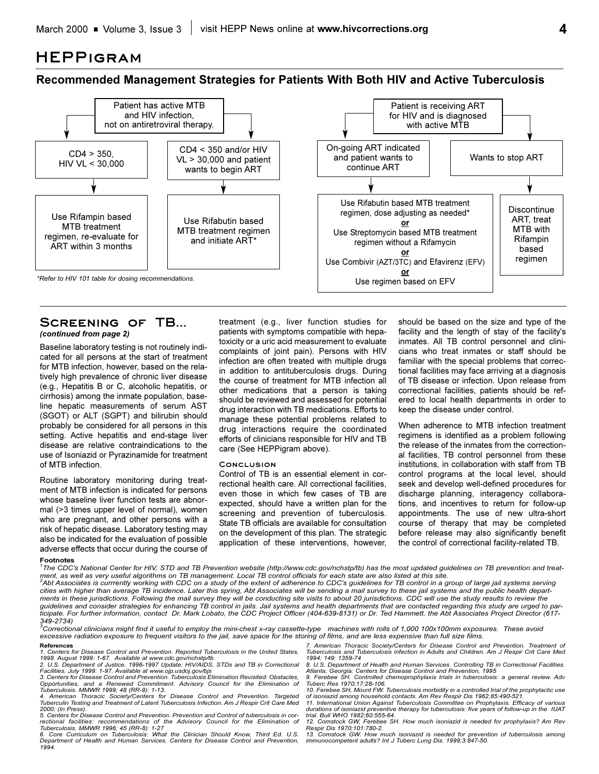## **HEPPigram**

## **Recommended Management Strategies for Patients With Both HIV and Active Tuberculosis**



#### **Screening of TB...**  *(continued from page 2)*

Baseline laboratory testing is not routinely indicated for all persons at the start of treatment for MTB infection, however, based on the relatively high prevalence of chronic liver disease (e.g., Hepatitis B or C, alcoholic hepatitis, or cirrhosis) among the inmate population, baseline hepatic measurements of serum AST (SGOT) or ALT (SGPT) and bilirubin should probably be considered for all persons in this setting. Active hepatitis and end-stage liver disease are relative contraindications to the use of Isoniazid or Pyrazinamide for treatment of MTB infection.

Routine laboratory monitoring during treatment of MTB infection is indicated for persons whose baseline liver function tests are abnormal (>3 times upper level of normal), women who are pregnant, and other persons with a risk of hepatic disease. Laboratory testing may also be indicated for the evaluation of possible adverse effects that occur during the course of treatment (e.g., liver function studies for patients with symptoms compatible with hepatoxicity or a uric acid measurement to evaluate complaints of joint pain). Persons with HIV infection are often treated with multiple drugs in addition to antituberculosis drugs. During the course of treatment for MTB infection all other medications that a person is taking should be reviewed and assessed for potential drug interaction with TB medications. Efforts to manage these potential problems related to drug interactions require the coordinated efforts of clinicians responsible for HIV and TB care (See HEPPigram above).

#### **Conclusion**

Control of TB is an essential element in correctional health care. All correctional facilities, even those in which few cases of TB are expected, should have a written plan for the screening and prevention of tuberculosis. State TB officials are available for consultation on the development of this plan. The strategic application of these interventions, however, should be based on the size and type of the facility and the length of stay of the facility's inmates. All TB control personnel and clinicians who treat inmates or staff should be familiar with the special problems that correctional facilities may face arriving at a diagnosis of TB disease or infection. Upon release from correctional facilities, patients should be refered to local health departments in order to keep the disease under control.

When adherence to MTB infection treatment regimens is identified as a problem following the release of the inmates from the correctional facilities, TB control personnel from these institutions, in collaboration with staff from TB control programs at the local level, should seek and develop well-defined procedures for discharge planning, interagency collaborations, and incentives to return for follow-up appointments. The use of new ultra-short course of therapy that may be completed before release may also significantly benefit the control of correctional facility-related TB.

## **Footnotes** *1*

*The CDC's National Center for HIV, STD and TB Prevention website (http://www.cdc.gov/nchstp/tb) has the most updated guidelines on TB prevention and treat-*

ment, as well as very useful algorithms on TB management. Local TB control officials for each state are also listed at this site.<br><sup>2</sup>Abt Associates is currrently working with CDC on a study of the extent of adherence to CD *cities with higher than average TB incidence. Later this spring, Abt Associates will be sending a mail survey to these jail systems and the public health departments in these jurisdictions. Following the mail survey they will be conducting site visits to about 20 jurisdictions. CDC will use the study results to review the guidelines and consider strategies for enhancing TB control in jails. Jail systems and health departments that are contacted regarding this study are urged to participate. For further information, contact Dr. Mark Lobato, the CDC Project Officer (404-639-8131) or Dr. Ted Hammett, the Abt Associates Project Director (617- 349-2734) 3 Correctional clinicians might find it useful to employ the mini-chest x-ray cassette-type machines with rolls of 1,000 100x100mm exposures. These avoid*

*excessive radiation exposure to frequent visitors to the jail, save space for the storing of films, and are less expensive than full size films.*

**References** *1. Centers for Disease Control and Prevention. Reported Tuberculosis in the United States, 1998. August 1999: 1-67. Available at www.cdc.gov/nchstp/tb.*

*2. U.S. Department of Justice. 1996-1997 Update: HIV/AIDS, STDs and TB in Correctional Facilities. July 1999: 1-97. Available at www.ojp.usdoj.gov/bjs*

*3. Centers for Disease Control and Prevention. Tuberculosis Elimination Revisited: Obstacles, Opportunities, and a Renewed Commitment. Advisory Council for the Elimination of Tuberculosis. MMWR 1999; 48 (RR-9): 1-13.*

*4. American Thoracic Society/Centers for Disease Control and Prevention. Targeted Tuberculin Testing and Treatment of Latent Tuberculosis Infection. Am J Respir Crit Care Med 2000; (In Press). 5. Centers for Disease Control and Prevention. Prevention and Control of tuberculosis in cor-*

*rectional facilities: recommendations of the Advisory Council for the Elimination of Tuberculosis. MMWR 1996; 45 (RR-8): 1-27*

*6. Core Curriculum on Tuberculosis: What the Clinician Should Know, Third Ed. U.S. Department of Health and Human Services, Centers for Disease Control and Prevention, 1994.*

*7. American Thoracic Society/Centers for Disease Control and Prevention. Treatment of Tuberculosis and Tuberculosis infection in Adults and Children. Am J Respir Crit Care Med 1994; 149: 1359-74*

*8. U.S. Department of Health and Human Services. Controlling TB in Correctional Facilities. Atlanta, Georgia: Centers for Disease Control and Prevention, 1995*

*9. Ferebee SH. Controlled chemoprophylaxis trials in tuberculosis: a general review. Adv Tuberc Res 1970;17:28-106. 10. Ferebee SH, Mount FW. Tuberculosis morbidity in a controlled trial of the prophylactic use*

*of isoniazid among household contacts. Am Rev Respir Dis 1962;85:490-521. 11. International Union Against Tuberculosis Committee on Prophylaxis. Efficacy of various durations of isoniazid preventive therapy for tuberculosis: five years of follow-up in the IUAT*

*trial. Bull WHO 1982;60:555-64.*

*12. Comstock GW, Ferebee SH. How much isoniazid is needed for prophylaxis? Am Rev Respir Dis 1970;101:780-2.*

*13. Comstock GW. How much isoniazid is needed for prevention of tuberculosis among immunocompetent adults? Int J Tuberc Lung Dis. 1999;3:847-50.*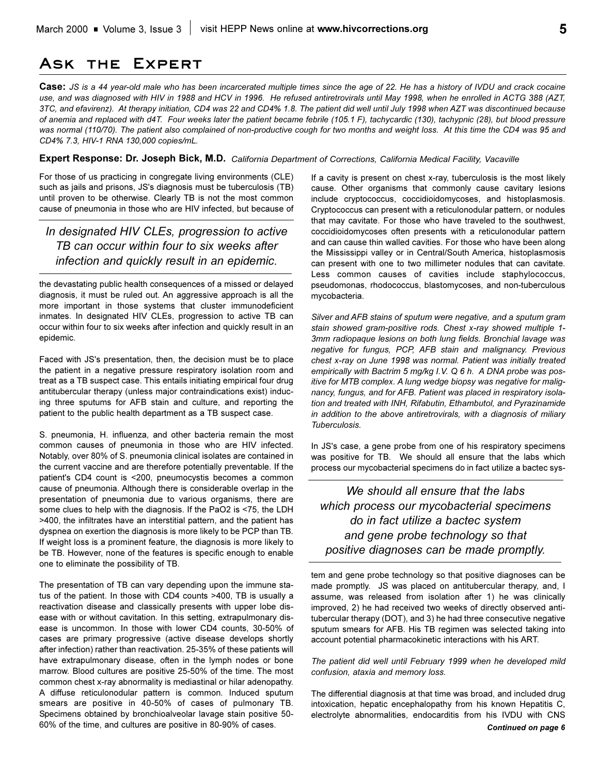## **Ask the Expert**

**Case:** *JS is a 44 year-old male who has been incarcerated multiple times since the age of 22. He has a history of IVDU and crack cocaine use, and was diagnosed with HIV in 1988 and HCV in 1996. He refused antiretrovirals until May 1998, when he enrolled in ACTG 388 (AZT, 3TC, and efavirenz). At therapy initiation, CD4 was 22 and CD4% 1.8. The patient did well until July 1998 when AZT was discontinued because of anemia and replaced with d4T. Four weeks later the patient became febrile (105.1 F), tachycardic (130), tachypnic (28), but blood pressure was normal (110/70). The patient also complained of non-productive cough for two months and weight loss. At this time the CD4 was 95 and CD4% 7.3, HIV-1 RNA 130,000 copies/mL.*

#### **Expert Response: Dr. Joseph Bick, M.D.** *California Department of Corrections, California Medical Facility, Vacaville*

For those of us practicing in congregate living environments (CLE) such as jails and prisons, JS's diagnosis must be tuberculosis (TB) until proven to be otherwise. Clearly TB is not the most common cause of pneumonia in those who are HIV infected, but because of

## *In designated HIV CLEs, progression to active TB can occur within four to six weeks after infection and quickly result in an epidemic.*

the devastating public health consequences of a missed or delayed diagnosis, it must be ruled out. An aggressive approach is all the more important in those systems that cluster immunodeficient inmates. In designated HIV CLEs, progression to active TB can occur within four to six weeks after infection and quickly result in an epidemic.

Faced with JS's presentation, then, the decision must be to place the patient in a negative pressure respiratory isolation room and treat as a TB suspect case. This entails initiating empirical four drug antitubercular therapy (unless major contraindications exist) inducing three sputums for AFB stain and culture, and reporting the patient to the public health department as a TB suspect case.

S. pneumonia, H. influenza, and other bacteria remain the most common causes of pneumonia in those who are HIV infected. Notably, over 80% of S. pneumonia clinical isolates are contained in the current vaccine and are therefore potentially preventable. If the patient's CD4 count is <200, pneumocystis becomes a common cause of pneumonia. Although there is considerable overlap in the presentation of pneumonia due to various organisms, there are some clues to help with the diagnosis. If the PaO2 is <75, the LDH >400, the infiltrates have an interstitial pattern, and the patient has dyspnea on exertion the diagnosis is more likely to be PCP than TB. If weight loss is a prominent feature, the diagnosis is more likely to be TB. However, none of the features is specific enough to enable one to eliminate the possibility of TB.

The presentation of TB can vary depending upon the immune status of the patient. In those with CD4 counts >400, TB is usually a reactivation disease and classically presents with upper lobe disease with or without cavitation. In this setting, extrapulmonary disease is uncommon. In those with lower CD4 counts, 30-50% of cases are primary progressive (active disease develops shortly after infection) rather than reactivation. 25-35% of these patients will have extrapulmonary disease, often in the lymph nodes or bone marrow. Blood cultures are positive 25-50% of the time. The most common chest x-ray abnormality is mediastinal or hilar adenopathy. A diffuse reticulonodular pattern is common. Induced sputum smears are positive in 40-50% of cases of pulmonary TB. Specimens obtained by bronchioalveolar lavage stain positive 50- 60% of the time, and cultures are positive in 80-90% of cases.

If a cavity is present on chest x-ray, tuberculosis is the most likely cause. Other organisms that commonly cause cavitary lesions include cryptococcus, coccidioidomycoses, and histoplasmosis. Cryptococcus can present with a reticulonodular pattern, or nodules that may cavitate. For those who have traveled to the southwest, coccidioidomycoses often presents with a reticulonodular pattern and can cause thin walled cavities. For those who have been along the Mississippi valley or in Central/South America, histoplasmosis can present with one to two millimeter nodules that can cavitate. Less common causes of cavities include staphylococcus, pseudomonas, rhodococcus, blastomycoses, and non-tuberculous mycobacteria.

*Silver and AFB stains of sputum were negative, and a sputum gram stain showed gram-positive rods. Chest x-ray showed multiple 1- 3mm radiopaque lesions on both lung fields. Bronchial lavage was negative for fungus, PCP, AFB stain and malignancy. Previous chest x-ray on June 1998 was normal. Patient was initially treated empirically with Bactrim 5 mg/kg I.V. Q 6 h. A DNA probe was positive for MTB complex. A lung wedge biopsy was negative for malignancy, fungus, and for AFB. Patient was placed in respiratory isolation and treated with INH, Rifabutin, Ethambutol, and Pyrazinamide in addition to the above antiretrovirals, with a diagnosis of miliary Tuberculosis.*

In JS's case, a gene probe from one of his respiratory specimens was positive for TB. We should all ensure that the labs which process our mycobacterial specimens do in fact utilize a bactec sys-

*We should all ensure that the labs which process our mycobacterial specimens do in fact utilize a bactec system and gene probe technology so that positive diagnoses can be made promptly.*

tem and gene probe technology so that positive diagnoses can be made promptly. JS was placed on antitubercular therapy, and, I assume, was released from isolation after 1) he was clinically improved, 2) he had received two weeks of directly observed antitubercular therapy (DOT), and 3) he had three consecutive negative sputum smears for AFB. His TB regimen was selected taking into account potential pharmacokinetic interactions with his ART.

*The patient did well until February 1999 when he developed mild confusion, ataxia and memory loss.*

The differential diagnosis at that time was broad, and included drug intoxication, hepatic encephalopathy from his known Hepatitis C, electrolyte abnormalities, endocarditis from his IVDU with CNS *Continued on page 6*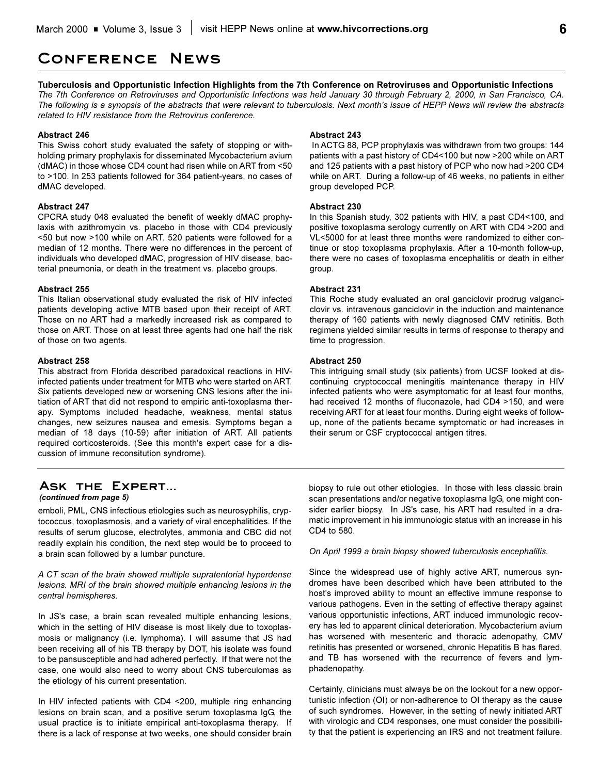## **Conference News**

#### **Tuberculosis and Opportunistic Infection Highlights from the 7th Conference on Retroviruses and Opportunistic Infections**

*The 7th Conference on Retroviruses and Opportunistic Infections was held January 30 through February 2, 2000, in San Francisco, CA. The following is a synopsis of the abstracts that were relevant to tuberculosis. Next month's issue of HEPP News will review the abstracts related to HIV resistance from the Retrovirus conference.*

#### **Abstract 246**

This Swiss cohort study evaluated the safety of stopping or withholding primary prophylaxis for disseminated Mycobacterium avium (dMAC) in those whose CD4 count had risen while on ART from <50 to >100. In 253 patients followed for 364 patient-years, no cases of dMAC developed.

#### **Abstract 247**

CPCRA study 048 evaluated the benefit of weekly dMAC prophylaxis with azithromycin vs. placebo in those with CD4 previously <50 but now >100 while on ART. 520 patients were followed for a median of 12 months. There were no differences in the percent of individuals who developed dMAC, progression of HIV disease, bacterial pneumonia, or death in the treatment vs. placebo groups.

#### **Abstract 255**

This Italian observational study evaluated the risk of HIV infected patients developing active MTB based upon their receipt of ART. Those on no ART had a markedly increased risk as compared to those on ART. Those on at least three agents had one half the risk of those on two agents.

#### **Abstract 258**

This abstract from Florida described paradoxical reactions in HIVinfected patients under treatment for MTB who were started on ART. Six patients developed new or worsening CNS lesions after the initiation of ART that did not respond to empiric anti-toxoplasma therapy. Symptoms included headache, weakness, mental status changes, new seizures nausea and emesis. Symptoms began a median of 18 days (10-59) after initiation of ART. All patients required corticosteroids. (See this month's expert case for a discussion of immune reconsitution syndrome).

#### **Abstract 243**

In ACTG 88, PCP prophylaxis was withdrawn from two groups: 144 patients with a past history of CD4<100 but now >200 while on ART and 125 patients with a past history of PCP who now had >200 CD4 while on ART. During a follow-up of 46 weeks, no patients in either group developed PCP.

#### **Abstract 230**

In this Spanish study, 302 patients with HIV, a past CD4<100, and positive toxoplasma serology currently on ART with CD4 >200 and VL<5000 for at least three months were randomized to either continue or stop toxoplasma prophylaxis. After a 10-month follow-up, there were no cases of toxoplasma encephalitis or death in either group.

#### **Abstract 231**

This Roche study evaluated an oral ganciclovir prodrug valganciclovir vs. intravenous ganciclovir in the induction and maintenance therapy of 160 patients with newly diagnosed CMV retinitis. Both regimens yielded similar results in terms of response to therapy and time to progression.

#### **Abstract 250**

This intriguing small study (six patients) from UCSF looked at discontinuing cryptococcal meningitis maintenance therapy in HIV infected patients who were asymptomatic for at least four months, had received 12 months of fluconazole, had CD4 >150, and were receiving ART for at least four months. During eight weeks of followup, none of the patients became symptomatic or had increases in their serum or CSF cryptococcal antigen titres.

#### **Ask the Expert...**  *(continued from page 5)*

emboli, PML, CNS infectious etiologies such as neurosyphilis, cryptococcus, toxoplasmosis, and a variety of viral encephalitides. If the results of serum glucose, electrolytes, ammonia and CBC did not readily explain his condition, the next step would be to proceed to a brain scan followed by a lumbar puncture.

#### *A CT scan of the brain showed multiple supratentorial hyperdense lesions. MRI of the brain showed multiple enhancing lesions in the central hemispheres.*

In JS's case, a brain scan revealed multiple enhancing lesions, which in the setting of HIV disease is most likely due to toxoplasmosis or malignancy (i.e. lymphoma). I will assume that JS had been receiving all of his TB therapy by DOT, his isolate was found to be pansusceptible and had adhered perfectly. If that were not the case, one would also need to worry about CNS tuberculomas as the etiology of his current presentation.

In HIV infected patients with CD4 <200, multiple ring enhancing lesions on brain scan, and a positive serum toxoplasma IgG, the usual practice is to initiate empirical anti-toxoplasma therapy. If there is a lack of response at two weeks, one should consider brain biopsy to rule out other etiologies. In those with less classic brain scan presentations and/or negative toxoplasma IgG, one might consider earlier biopsy. In JS's case, his ART had resulted in a dramatic improvement in his immunologic status with an increase in his CD4 to 580.

*On April 1999 a brain biopsy showed tuberculosis encephalitis.*

Since the widespread use of highly active ART, numerous syndromes have been described which have been attributed to the host's improved ability to mount an effective immune response to various pathogens. Even in the setting of effective therapy against various opportunistic infections, ART induced immunologic recovery has led to apparent clinical deterioration. Mycobacterium avium has worsened with mesenteric and thoracic adenopathy, CMV retinitis has presented or worsened, chronic Hepatitis B has flared, and TB has worsened with the recurrence of fevers and lymphadenopathy.

Certainly, clinicians must always be on the lookout for a new opportunistic infection (OI) or non-adherence to OI therapy as the cause of such syndromes. However, in the setting of newly initiated ART with virologic and CD4 responses, one must consider the possibility that the patient is experiencing an IRS and not treatment failure.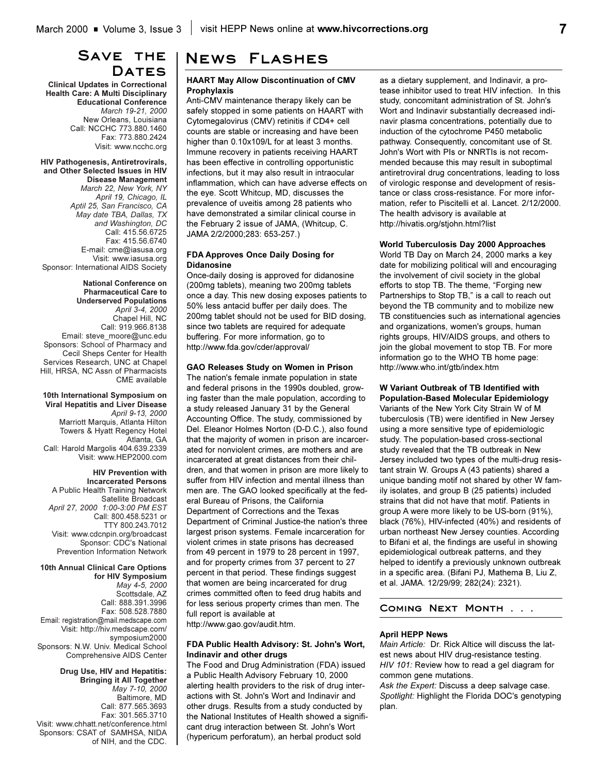## SAVE THE DATES

**Clinical Updates in Correctional Health Care: A Multi Disciplinary Educational Conference** *March 19-21, 2000* New Orleans, Louisiana Call: NCCHC 773.880.1460 Fax: 773.880.2424 Visit: www.ncchc.org

#### **HIV Pathogenesis, Antiretrovirals, and Other Selected Issues in HIV Disease Management**

*March 22, New York, NY April 19, Chicago, IL Aptil 25, San Francisco, CA May date TBA, Dallas, TX and Washington, DC* Call: 415.56.6725 Fax: 415.56.6740 E-mail: cme@iasusa.org Visit: www.iasusa.org Sponsor: International AIDS Society

**National Conference on Pharmaceutical Care to Underserved Populations** *April 3-4, 2000* Chapel Hill, NC Call: 919.966.8138 Email: steve\_moore@unc.edu Sponsors: School of Pharmacy and Cecil Sheps Center for Health Services Research, UNC at Chapel Hill, HRSA, NC Assn of Pharmacists CME available

**10th International Symposium on Viral Hepatitis and Liver Disease** *April 9-13, 2000* Marriott Marquis, Atlanta Hilton Towers & Hyatt Regency Hotel Atlanta, GA Call: Harold Margolis 404.639.2339 Visit: www.HEP2000.com

#### **HIV Prevention with Incarcerated Persons**

A Public Health Training Network Satellite Broadcast *April 27, 2000 1:00-3:00 PM EST* Call: 800.458.5231 or TTY 800.243.7012 Visit: www.cdcnpin.org/broadcast Sponsor: CDC's National Prevention Information Network

**10th Annual Clinical Care Options for HIV Symposium** *May 4-5, 2000*  Scottsdale, AZ

Call: 888.391.3996 Fax: 508.528.7880 Email: registration@mail.medscape.com Visit: http://hiv.medscape.com/ symposium2000 Sponsors: N.W. Univ. Medical School Comprehensive AIDS Center

**Drug Use, HIV and Hepatitis: Bringing it All Together**  *May 7-10, 2000* Baltimore, MD Call: 877.565.3693 Fax: 301.565.3710 Visit: www.chhatt.net/conference.html Sponsors: CSAT of SAMHSA, NIDA of NIH, and the CDC.

## **News Flashes**

#### **HAART May Allow Discontinuation of CMV Prophylaxis**

Anti-CMV maintenance therapy likely can be safely stopped in some patients on HAART with Cytomegalovirus (CMV) retinitis if CD4+ cell counts are stable or increasing and have been higher than 0.10x109/L for at least 3 months. Immune recovery in patients receiving HAART has been effective in controlling opportunistic infections, but it may also result in intraocular inflammation, which can have adverse effects on the eye. Scott Whitcup, MD, discusses the prevalence of uveitis among 28 patients who have demonstrated a similar clinical course in the February 2 issue of JAMA, (Whitcup, C. JAMA 2/2/2000;283: 653-257.)

#### **FDA Approves Once Daily Dosing for Didanosine**

Once-daily dosing is approved for didanosine (200mg tablets), meaning two 200mg tablets once a day. This new dosing exposes patients to 50% less antacid buffer per daily does. The 200mg tablet should not be used for BID dosing, since two tablets are required for adequate buffering. For more information, go to http://www.fda.gov/cder/approval/

#### **GAO Releases Study on Women in Prison**

The nation's female inmate population in state and federal prisons in the 1990s doubled, growing faster than the male population, according to a study released January 31 by the General Accounting Office. The study, commissioned by Del. Eleanor Holmes Norton (D-D.C.), also found that the majority of women in prison are incarcerated for nonviolent crimes, are mothers and are incarcerated at great distances from their children, and that women in prison are more likely to suffer from HIV infection and mental illness than men are. The GAO looked specifically at the federal Bureau of Prisons, the California Department of Corrections and the Texas Department of Criminal Justice-the nation's three largest prison systems. Female incarceration for violent crimes in state prisons has decreased from 49 percent in 1979 to 28 percent in 1997, and for property crimes from 37 percent to 27 percent in that period. These findings suggest that women are being incarcerated for drug crimes committed often to feed drug habits and for less serious property crimes than men. The full report is available at

http://www.gao.gov/audit.htm.

#### **FDA Public Health Advisory: St. John's Wort, Indinavir and other drugs**

The Food and Drug Administration (FDA) issued a Public Health Advisory February 10, 2000 alerting health providers to the risk of drug interactions with St. John's Wort and Indinavir and other drugs. Results from a study conducted by the National Institutes of Health showed a significant drug interaction between St. John's Wort (hypericum perforatum), an herbal product sold

as a dietary supplement, and Indinavir, a protease inhibitor used to treat HIV infection. In this study, concomitant administration of St. John's Wort and Indinavir substantially decreased indinavir plasma concentrations, potentially due to induction of the cytochrome P450 metabolic pathway. Consequently, concomitant use of St. John's Wort with PIs or NNRTIs is not recommended because this may result in suboptimal antiretroviral drug concentrations, leading to loss of virologic response and development of resistance or class cross-resistance. For more information, refer to Piscitelli et al. Lancet. 2/12/2000. The health advisory is available at http://hivatis.org/stjohn.html?list

#### **World Tuberculosis Day 2000 Approaches**

World TB Day on March 24, 2000 marks a key date for mobilizing political will and encouraging the involvement of civil society in the global efforts to stop TB. The theme, "Forging new Partnerships to Stop TB," is a call to reach out beyond the TB community and to mobilize new TB constituencies such as international agencies and organizations, women's groups, human rights groups, HIV/AIDS groups, and others to join the global movement to stop TB. For more information go to the WHO TB home page: http://www.who.int/gtb/index.htm

## **W Variant Outbreak of TB Identified with**

**Population-Based Molecular Epidemiology** Variants of the New York City Strain W of M tuberculosis (TB) were identified in New Jersey using a more sensitive type of epidemiologic study. The population-based cross-sectional study revealed that the TB outbreak in New Jersey included two types of the multi-drug resistant strain W. Groups A (43 patients) shared a unique banding motif not shared by other W family isolates, and group B (25 patients) included strains that did not have that motif. Patients in group A were more likely to be US-born (91%), black (76%), HIV-infected (40%) and residents of urban northeast New Jersey counties. According to Bifani et al, the findings are useful in showing epidemiological outbreak patterns, and they helped to identify a previously unknown outbreak in a specific area. (Bifani PJ, Mathema B, Liu Z, et al. JAMA. 12/29/99; 282(24): 2321).

#### **Coming Next Month . . .**

#### **April HEPP News**

*Main Article:* Dr. Rick Altice will discuss the latest news about HIV drug-resistance testing. *HIV 101:* Review how to read a gel diagram for common gene mutations.

*Ask the Expert:* Discuss a deep salvage case. *Spotlight:* Highlight the Florida DOC's genotyping plan.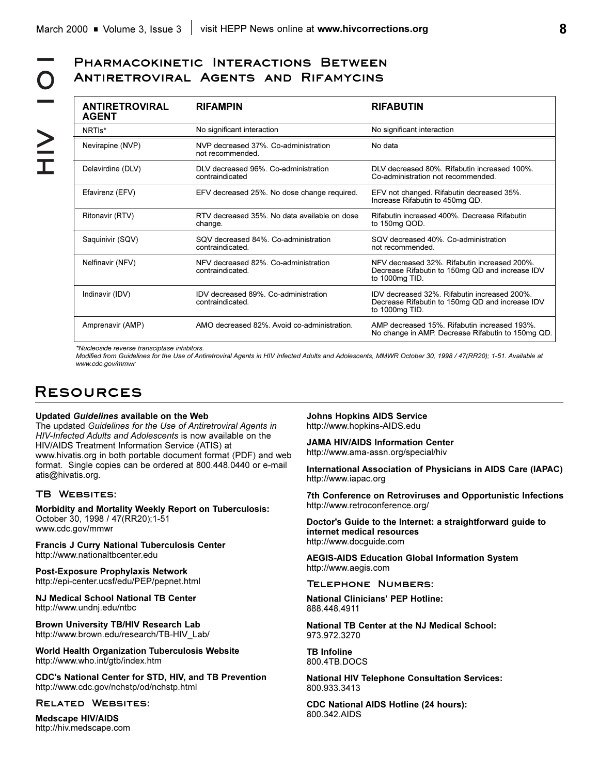# **Antiretroviral Agents and Rifamycins**

| <b>ANTIRETROVIRAL</b><br><b>AGENT</b> | <b>RIFAMPIN</b>                                          | <b>RIFABUTIN</b>                                                                                                  |
|---------------------------------------|----------------------------------------------------------|-------------------------------------------------------------------------------------------------------------------|
| NRTI <sub>s</sub> *                   | No significant interaction                               | No significant interaction                                                                                        |
| Nevirapine (NVP)                      | NVP decreased 37%. Co-administration<br>not recommended. | No data                                                                                                           |
| Delavirdine (DLV)                     | DLV decreased 96%. Co-administration<br>contraindicated  | DLV decreased 80%. Rifabutin increased 100%.<br>Co-administration not recommended                                 |
| Efavirenz (EFV)                       | EFV decreased 25%. No dose change required.              | EFV not changed. Rifabutin decreased 35%.<br>Increase Rifabutin to 450mg QD.                                      |
| Ritonavir (RTV)                       | RTV decreased 35%. No data available on dose<br>change.  | Rifabutin increased 400%. Decrease Rifabutin<br>to 150mg QOD.                                                     |
| Saquinivir (SQV)                      | SQV decreased 84%. Co-administration<br>contraindicated. | SQV decreased 40%. Co-administration<br>not recommended.                                                          |
| Nelfinavir (NFV)                      | NFV decreased 82%. Co-administration<br>contraindicated. | NFV decreased 32%. Rifabutin increased 200%.<br>Decrease Rifabutin to 150mg QD and increase IDV<br>to 1000mg TID. |
| Indinavir (IDV)                       | IDV decreased 89%. Co-administration<br>contraindicated. | IDV decreased 32%. Rifabutin increased 200%.<br>Decrease Rifabutin to 150mg QD and increase IDV<br>to 1000mg TID. |
| Amprenavir (AMP)                      | AMO decreased 82%. Avoid co-administration.              | AMP decreased 15%. Rifabutin increased 193%.<br>No change in AMP. Decrease Rifabutin to 150mg QD.                 |

*\*Nucleoside reverse transciptase inhibitors.*

*Modified from Guidelines for the Use of Antiretroviral Agents in HIV Infected Adults and Adolescents, MMWR October 30, 1998 / 47(RR20); 1-51. Available at www.cdc.gov/mmwr*

# **Resources**

#### **Updated** *Guidelines* **available on the Web**

The updated *Guidelines for the Use of Antiretroviral Agents in HIV-Infected Adults and Adolescents* is now available on the HIV/AIDS Treatment Information Service (ATIS) at www.hivatis.org in both portable document format (PDF) and web format. Single copies can be ordered at 800.448.0440 or e-mail atis@hivatis.org.

#### **TB Websites:**

**Morbidity and Mortality Weekly Report on Tuberculosis:** October 30, 1998 / 47(RR20);1-51 www.cdc.gov/mmwr

**Francis J Curry National Tuberculosis Center** http://www.nationaltbcenter.edu

**Post-Exposure Prophylaxis Network** http://epi-center.ucsf/edu/PEP/pepnet.html

**NJ Medical School National TB Center** http://www.undnj.edu/ntbc

**Brown University TB/HIV Research Lab** http://www.brown.edu/research/TB-HIV\_Lab/

**World Health Organization Tuberculosis Website** http://www.who.int/gtb/index.htm

**CDC's National Center for STD, HIV, and TB Prevention** http://www.cdc.gov/nchstp/od/nchstp.html

#### **Related Websites:**

**Medscape HIV/AIDS** http://hiv.medscape.com

**Johns Hopkins AIDS Service** http://www.hopkins-AIDS.edu

**JAMA HIV/AIDS Information Center**

http://www.ama-assn.org/special/hiv

**International Association of Physicians in AIDS Care (IAPAC)** http://www.iapac.org

**7th Conference on Retroviruses and Opportunistic Infections** http://www.retroconference.org/

**Doctor's Guide to the Internet: a straightforward guide to internet medical resources** http://www.docguide.com

**AEGIS-AIDS Education Global Information System** http://www.aegis.com

**Telephone Numbers:**

**National Clinicians' PEP Hotline:** 888.448.4911

**National TB Center at the NJ Medical School:** 973.972.3270

**TB Infoline** 800.4TB.DOCS

**National HIV Telephone Consultation Services:** 800.933.3413

**CDC National AIDS Hotline (24 hours):** 800.342.AIDS